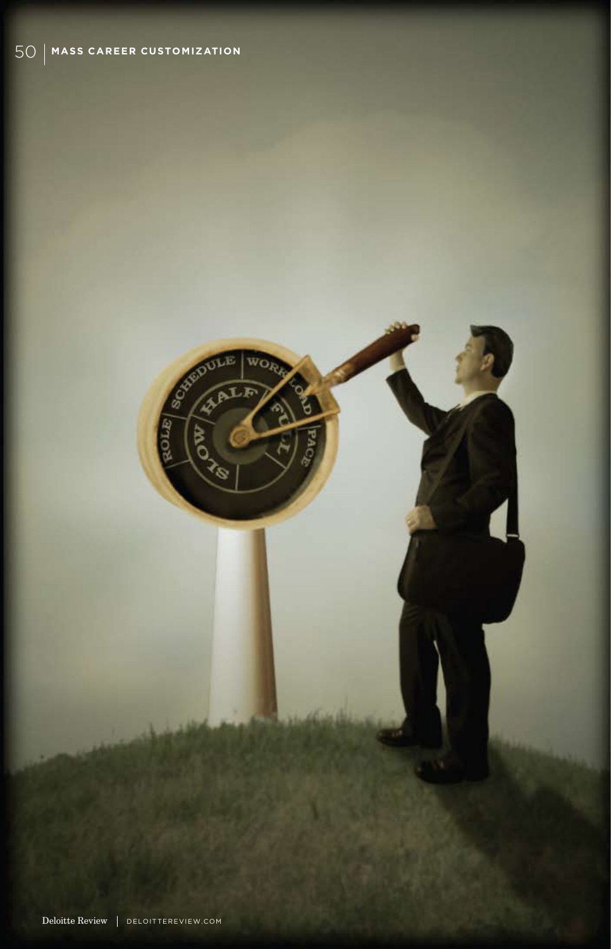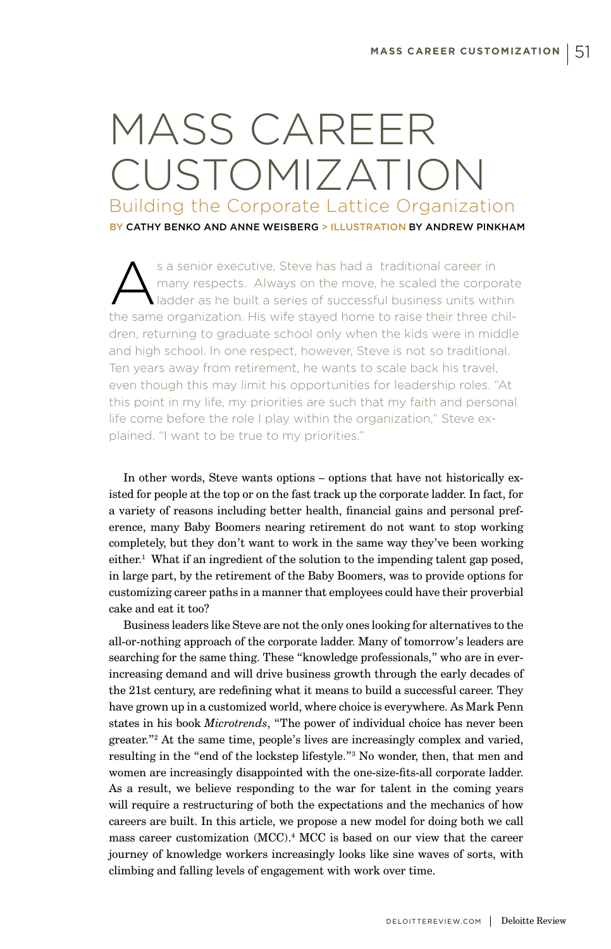# Mass Career Customization Building the Corporate Lattice Organization

BY CATHY BENKO AND ANNE WEISBERG > ILLUSTRATION BY ANDREW PINKHAM

S a senior executive, Steve has had a traditional career in<br>
many respects. Always on the move, he scaled the corpo<br>
ladder as he built a series of successful business units with many respects. Always on the move, he scaled the corporate ladder as he built a series of successful business units within the same organization. His wife stayed home to raise their three children, returning to graduate school only when the kids were in middle and high school. In one respect, however, Steve is not so traditional. Ten years away from retirement, he wants to scale back his travel, even though this may limit his opportunities for leadership roles. "At this point in my life, my priorities are such that my faith and personal life come before the role I play within the organization," Steve explained. "I want to be true to my priorities."

In other words, Steve wants options – options that have not historically existed for people at the top or on the fast track up the corporate ladder. In fact, for a variety of reasons including better health, financial gains and personal preference, many Baby Boomers nearing retirement do not want to stop working completely, but they don't want to work in the same way they've been working  $e^{i\theta}$  either.<sup>1</sup> What if an ingredient of the solution to the impending talent gap posed, in large part, by the retirement of the Baby Boomers, was to provide options for customizing career paths in a manner that employees could have their proverbial cake and eat it too?

Business leaders like Steve are not the only ones looking for alternatives to the all-or-nothing approach of the corporate ladder. Many of tomorrow's leaders are searching for the same thing. These "knowledge professionals," who are in everincreasing demand and will drive business growth through the early decades of the 21st century, are redefining what it means to build a successful career. They have grown up in a customized world, where choice is everywhere. As Mark Penn states in his book *Microtrends*, "The power of individual choice has never been greater."2 At the same time, people's lives are increasingly complex and varied, resulting in the "end of the lockstep lifestyle."3 No wonder, then, that men and women are increasingly disappointed with the one-size-fits-all corporate ladder. As a result, we believe responding to the war for talent in the coming years will require a restructuring of both the expectations and the mechanics of how careers are built. In this article, we propose a new model for doing both we call mass career customization (MCC).4 MCC is based on our view that the career journey of knowledge workers increasingly looks like sine waves of sorts, with climbing and falling levels of engagement with work over time.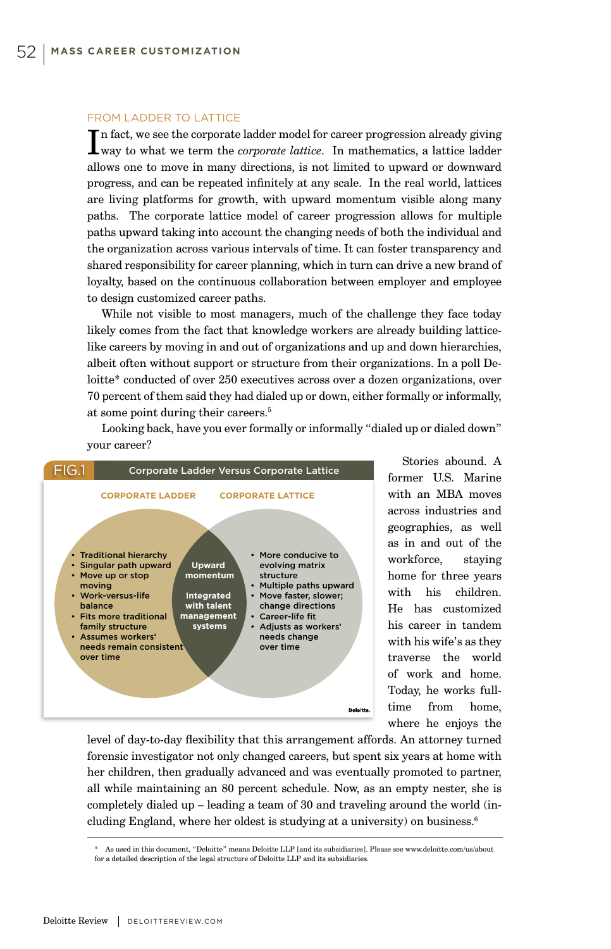# FROM LADDER TO LATTICE

 $\prod$ n fact, we see the corporate ladder model for career progression already giving way to what we term the *corporate lattice*. In mathematics, a lattice ladder way to what we term the *corporate lattice*. In mathematics, a lattice ladder allows one to move in many directions, is not limited to upward or downward progress, and can be repeated infinitely at any scale. In the real world, lattices are living platforms for growth, with upward momentum visible along many paths. The corporate lattice model of career progression allows for multiple paths upward taking into account the changing needs of both the individual and the organization across various intervals of time. It can foster transparency and shared responsibility for career planning, which in turn can drive a new brand of loyalty, based on the continuous collaboration between employer and employee to design customized career paths.

While not visible to most managers, much of the challenge they face today likely comes from the fact that knowledge workers are already building latticelike careers by moving in and out of organizations and up and down hierarchies, albeit often without support or structure from their organizations. In a poll Deloitte\* conducted of over 250 executives across over a dozen organizations, over 70 percent of them said they had dialed up or down, either formally or informally, at some point during their careers.5

Looking back, have you ever formally or informally "dialed up or dialed down" your career?



Stories abound. A former U.S. Marine with an MBA moves across industries and geographies, as well as in and out of the workforce, staying home for three years with his children. He has customized his career in tandem with his wife's as they traverse the world of work and home. Today, he works fulltime from home, where he enjoys the

level of day-to-day flexibility that this arrangement affords. An attorney turned forensic investigator not only changed careers, but spent six years at home with her children, then gradually advanced and was eventually promoted to partner, all while maintaining an 80 percent schedule. Now, as an empty nester, she is completely dialed up – leading a team of 30 and traveling around the world (including England, where her oldest is studying at a university) on business.6

As used in this document, "Deloitte" means Deloitte LLP [and its subsidiaries]. Please see www.deloitte.com/us/about for a detailed description of the legal structure of Deloitte LLP and its subsidiaries.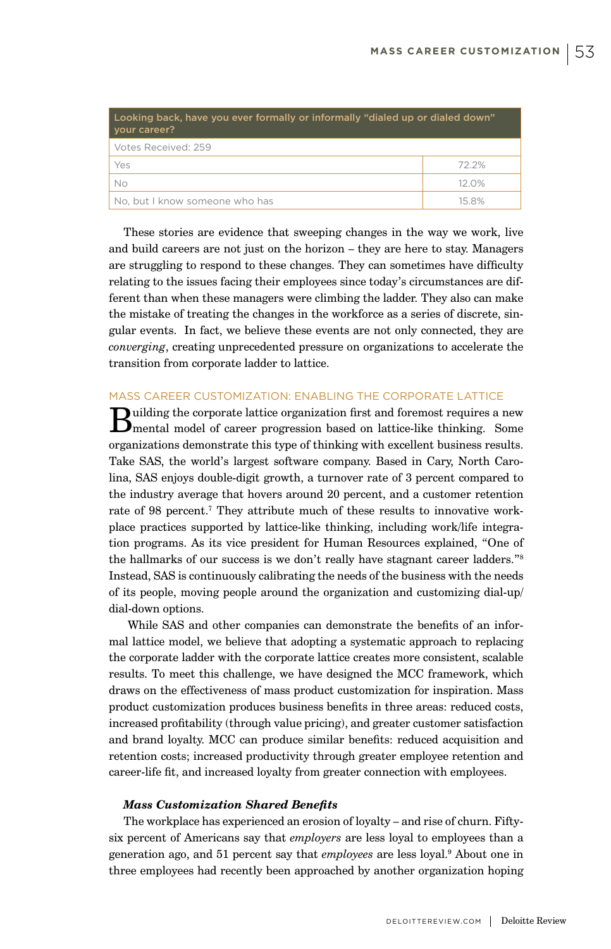| Looking back, have you ever formally or informally "dialed up or dialed down"<br>your career? |          |
|-----------------------------------------------------------------------------------------------|----------|
| Votes Received: 259                                                                           |          |
| Yes                                                                                           | $72.2\%$ |
| No                                                                                            | $12.0\%$ |
| No, but I know someone who has                                                                | 15.8%    |

These stories are evidence that sweeping changes in the way we work, live and build careers are not just on the horizon – they are here to stay. Managers are struggling to respond to these changes. They can sometimes have difficulty relating to the issues facing their employees since today's circumstances are different than when these managers were climbing the ladder. They also can make the mistake of treating the changes in the workforce as a series of discrete, singular events. In fact, we believe these events are not only connected, they are *converging*, creating unprecedented pressure on organizations to accelerate the transition from corporate ladder to lattice.

# Mass Career Customization: Enabling the Corporate Lattice

Building the corporate lattice organization first and foremost requires a new Imental model of career progression based on lattice-like thinking. Some organizations demonstrate this type of thinking with excellent business results. Take SAS, the world's largest software company. Based in Cary, North Carolina, SAS enjoys double-digit growth, a turnover rate of 3 percent compared to the industry average that hovers around 20 percent, and a customer retention rate of 98 percent.<sup>7</sup> They attribute much of these results to innovative workplace practices supported by lattice-like thinking, including work/life integration programs. As its vice president for Human Resources explained, "One of the hallmarks of our success is we don't really have stagnant career ladders."8 Instead, SAS is continuously calibrating the needs of the business with the needs of its people, moving people around the organization and customizing dial-up/ dial-down options.

 While SAS and other companies can demonstrate the benefits of an informal lattice model, we believe that adopting a systematic approach to replacing the corporate ladder with the corporate lattice creates more consistent, scalable results. To meet this challenge, we have designed the MCC framework, which draws on the effectiveness of mass product customization for inspiration. Mass product customization produces business benefits in three areas: reduced costs, increased profitability (through value pricing), and greater customer satisfaction and brand loyalty. MCC can produce similar benefits: reduced acquisition and retention costs; increased productivity through greater employee retention and career-life fit, and increased loyalty from greater connection with employees.

# *Mass Customization Shared Benefits*

The workplace has experienced an erosion of loyalty – and rise of churn. Fiftysix percent of Americans say that *employers* are less loyal to employees than a generation ago, and 51 percent say that *employees* are less loyal.9 About one in three employees had recently been approached by another organization hoping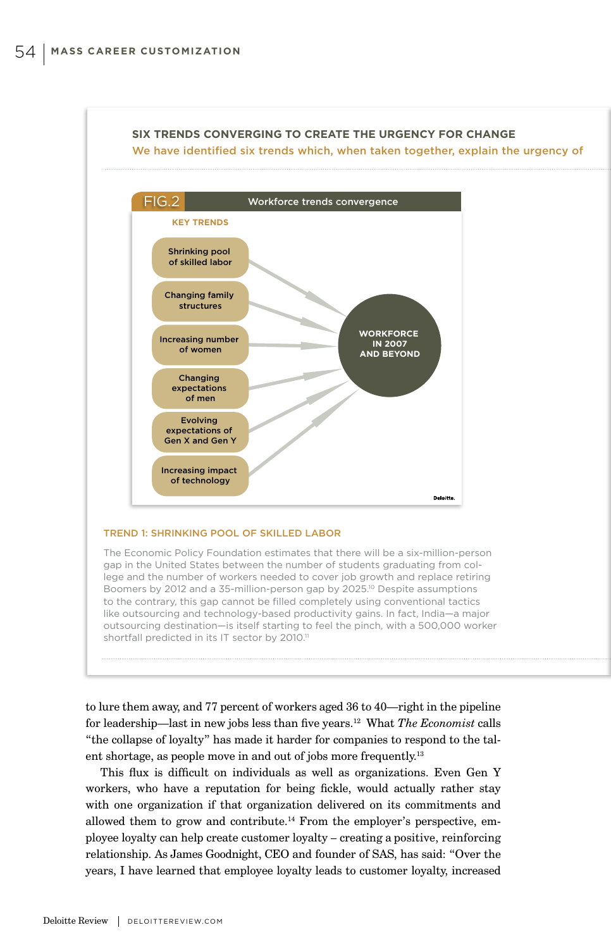

to the contrary, this gap cannot be filled completely using conventional tactics like outsourcing and technology-based productivity gains. In fact, India—a major outsourcing destination—is itself starting to feel the pinch, with a 500,000 worker shortfall predicted in its IT sector by 2010.<sup>11</sup>

to lure them away, and 77 percent of workers aged 36 to 40—right in the pipeline for leadership—last in new jobs less than five years.12 What *The Economist* calls "the collapse of loyalty" has made it harder for companies to respond to the talent shortage, as people move in and out of jobs more frequently.13

This flux is difficult on individuals as well as organizations. Even Gen Y workers, who have a reputation for being fickle, would actually rather stay with one organization if that organization delivered on its commitments and allowed them to grow and contribute.14 From the employer's perspective, employee loyalty can help create customer loyalty – creating a positive, reinforcing relationship. As James Goodnight, CEO and founder of SAS, has said: "Over the years, I have learned that employee loyalty leads to customer loyalty, increased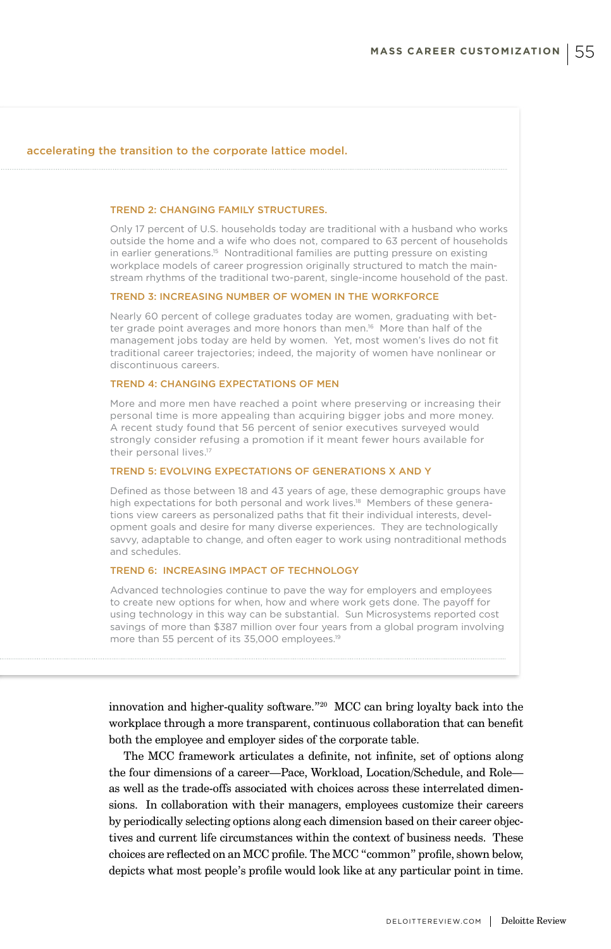#### accelerating the transition to the corporate lattice model.

#### Trend 2: Changing Family Structures.

Only 17 percent of U.S. households today are traditional with a husband who works outside the home and a wife who does not, compared to 63 percent of households in earlier generations.15 Nontraditional families are putting pressure on existing workplace models of career progression originally structured to match the mainstream rhythms of the traditional two-parent, single-income household of the past.

#### Trend 3: Increasing Number of Women in the Workforce

Nearly 60 percent of college graduates today are women, graduating with better grade point averages and more honors than men.<sup>16</sup> More than half of the management jobs today are held by women. Yet, most women's lives do not fit traditional career trajectories; indeed, the majority of women have nonlinear or discontinuous careers.

#### Trend 4: Changing Expectations of Men

More and more men have reached a point where preserving or increasing their personal time is more appealing than acquiring bigger jobs and more money. A recent study found that 56 percent of senior executives surveyed would strongly consider refusing a promotion if it meant fewer hours available for their personal lives.<sup>17</sup>

#### Trend 5: Evolving Expectations of Generations X and Y

Defined as those between 18 and 43 years of age, these demographic groups have high expectations for both personal and work lives.<sup>18</sup> Members of these generations view careers as personalized paths that fit their individual interests, development goals and desire for many diverse experiences. They are technologically savvy, adaptable to change, and often eager to work using nontraditional methods and schedules.

#### Trend 6: Increasing Impact of Technology

Advanced technologies continue to pave the way for employers and employees to create new options for when, how and where work gets done. The payoff for using technology in this way can be substantial. Sun Microsystems reported cost savings of more than \$387 million over four years from a global program involving more than 55 percent of its 35,000 employees.<sup>19</sup>

innovation and higher-quality software."20 MCC can bring loyalty back into the workplace through a more transparent, continuous collaboration that can benefit both the employee and employer sides of the corporate table.

The MCC framework articulates a definite, not infinite, set of options along the four dimensions of a career—Pace, Workload, Location/Schedule, and Role as well as the trade-offs associated with choices across these interrelated dimensions. In collaboration with their managers, employees customize their careers by periodically selecting options along each dimension based on their career objectives and current life circumstances within the context of business needs. These choices are reflected on an MCC profile. The MCC "common" profile, shown below, depicts what most people's profile would look like at any particular point in time.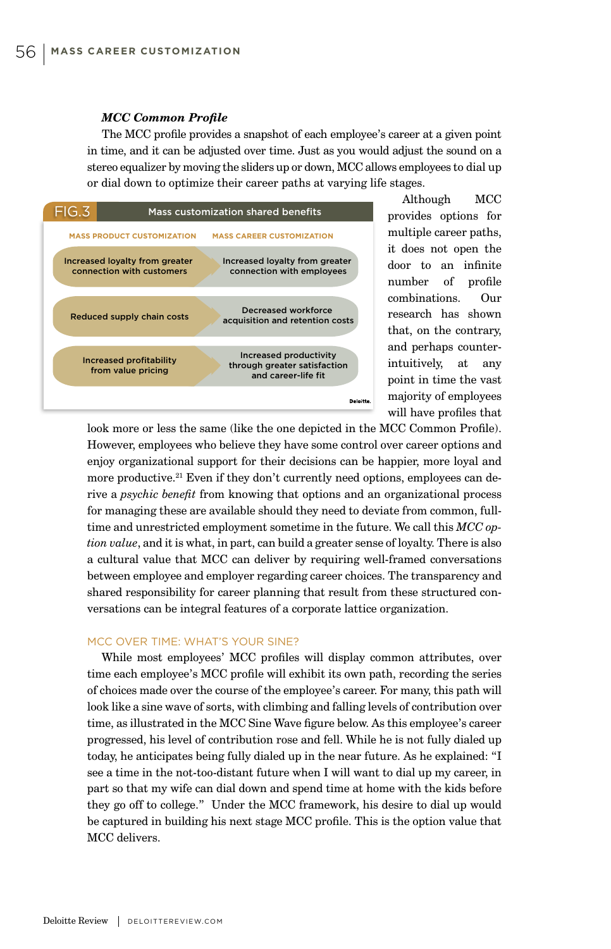# *MCC Common Profile*

The MCC profile provides a snapshot of each employee's career at a given point in time, and it can be adjusted over time. Just as you would adjust the sound on a stereo equalizer by moving the sliders up or down, MCC allows employees to dial up or dial down to optimize their career paths at varying life stages.



Although MCC provides options for multiple career paths, it does not open the door to an infinite number of profile combinations. Our research has shown that, on the contrary, and perhaps counterintuitively, at any point in time the vast majority of employees will have profiles that

look more or less the same (like the one depicted in the MCC Common Profile). However, employees who believe they have some control over career options and enjoy organizational support for their decisions can be happier, more loyal and more productive.<sup>21</sup> Even if they don't currently need options, employees can derive a *psychic benefit* from knowing that options and an organizational process for managing these are available should they need to deviate from common, fulltime and unrestricted employment sometime in the future. We call this *MCC option value*, and it is what, in part, can build a greater sense of loyalty. There is also a cultural value that MCC can deliver by requiring well-framed conversations between employee and employer regarding career choices. The transparency and shared responsibility for career planning that result from these structured conversations can be integral features of a corporate lattice organization.

# MCC OVER TIME: WHAT'S YOUR SINE?

While most employees' MCC profiles will display common attributes, over time each employee's MCC profile will exhibit its own path, recording the series of choices made over the course of the employee's career. For many, this path will look like a sine wave of sorts, with climbing and falling levels of contribution over time, as illustrated in the MCC Sine Wave figure below. As this employee's career progressed, his level of contribution rose and fell. While he is not fully dialed up today, he anticipates being fully dialed up in the near future. As he explained: "I see a time in the not-too-distant future when I will want to dial up my career, in part so that my wife can dial down and spend time at home with the kids before they go off to college." Under the MCC framework, his desire to dial up would be captured in building his next stage MCC profile. This is the option value that MCC delivers.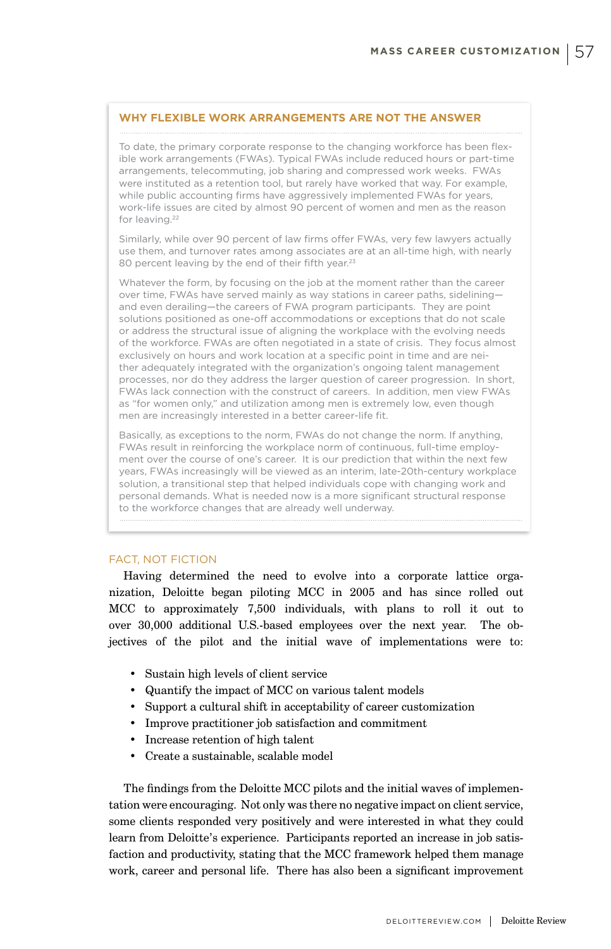# **Why Flexible Work Arrangements Are Not the Answer**

To date, the primary corporate response to the changing workforce has been flexible work arrangements (FWAs). Typical FWAs include reduced hours or part-time arrangements, telecommuting, job sharing and compressed work weeks. FWAs were instituted as a retention tool, but rarely have worked that way. For example, while public accounting firms have aggressively implemented FWAs for years, work-life issues are cited by almost 90 percent of women and men as the reason for leaving.22

Similarly, while over 90 percent of law firms offer FWAs, very few lawyers actually use them, and turnover rates among associates are at an all-time high, with nearly 80 percent leaving by the end of their fifth year.<sup>23</sup>

Whatever the form, by focusing on the job at the moment rather than the career over time, FWAs have served mainly as way stations in career paths, sidelining and even derailing—the careers of FWA program participants. They are point solutions positioned as one-off accommodations or exceptions that do not scale or address the structural issue of aligning the workplace with the evolving needs of the workforce. FWAs are often negotiated in a state of crisis. They focus almost exclusively on hours and work location at a specific point in time and are neither adequately integrated with the organization's ongoing talent management processes, nor do they address the larger question of career progression. In short, FWAs lack connection with the construct of careers. In addition, men view FWAs as "for women only," and utilization among men is extremely low, even though men are increasingly interested in a better career-life fit.

Basically, as exceptions to the norm, FWAs do not change the norm. If anything, FWAs result in reinforcing the workplace norm of continuous, full-time employment over the course of one's career. It is our prediction that within the next few years, FWAs increasingly will be viewed as an interim, late-20th-century workplace solution, a transitional step that helped individuals cope with changing work and personal demands. What is needed now is a more significant structural response to the workforce changes that are already well underway.

### Fact, Not Fiction

Having determined the need to evolve into a corporate lattice organization, Deloitte began piloting MCC in 2005 and has since rolled out MCC to approximately 7,500 individuals, with plans to roll it out to over 30,000 additional U.S.-based employees over the next year. The objectives of the pilot and the initial wave of implementations were to:

- • Sustain high levels of client service
- • Quantify the impact of MCC on various talent models
- • Support a cultural shift in acceptability of career customization
- • Improve practitioner job satisfaction and commitment
- Increase retention of high talent
- • Create a sustainable, scalable model

The findings from the Deloitte MCC pilots and the initial waves of implementation were encouraging. Not only was there no negative impact on client service, some clients responded very positively and were interested in what they could learn from Deloitte's experience. Participants reported an increase in job satisfaction and productivity, stating that the MCC framework helped them manage work, career and personal life. There has also been a significant improvement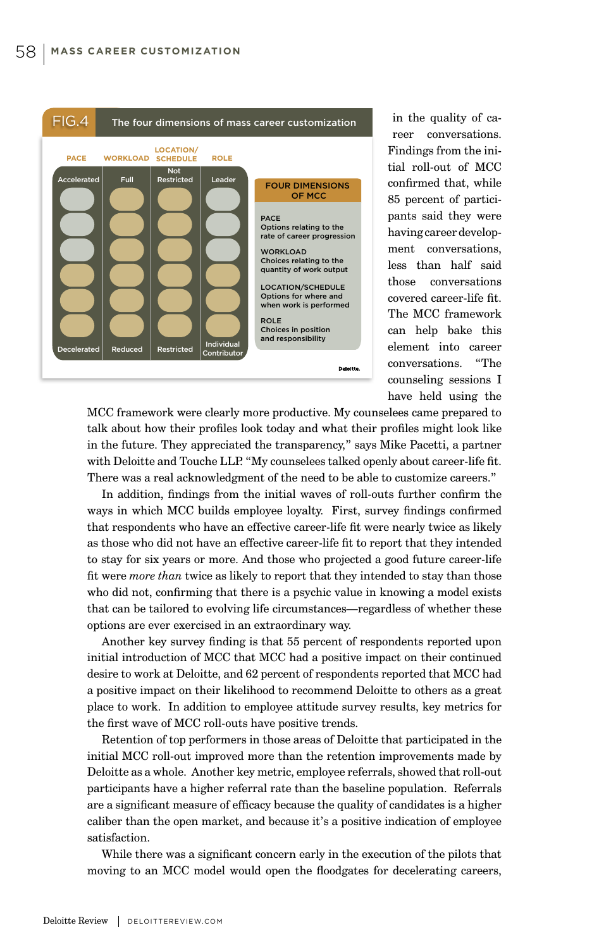

in the quality of career conversations. Findings from the initial roll-out of MCC confirmed that, while 85 percent of participants said they were having career development conversations, less than half said those conversations covered career-life fit. The MCC framework can help bake this element into career conversations. "The counseling sessions I have held using the

MCC framework were clearly more productive. My counselees came prepared to talk about how their profiles look today and what their profiles might look like in the future. They appreciated the transparency," says Mike Pacetti, a partner with Deloitte and Touche LLP. "My counselees talked openly about career-life fit. There was a real acknowledgment of the need to be able to customize careers."

In addition, findings from the initial waves of roll-outs further confirm the ways in which MCC builds employee loyalty. First, survey findings confirmed that respondents who have an effective career-life fit were nearly twice as likely as those who did not have an effective career-life fit to report that they intended to stay for six years or more. And those who projected a good future career-life fit were *more than* twice as likely to report that they intended to stay than those who did not, confirming that there is a psychic value in knowing a model exists that can be tailored to evolving life circumstances—regardless of whether these options are ever exercised in an extraordinary way.

Another key survey finding is that 55 percent of respondents reported upon initial introduction of MCC that MCC had a positive impact on their continued desire to work at Deloitte, and 62 percent of respondents reported that MCC had a positive impact on their likelihood to recommend Deloitte to others as a great place to work. In addition to employee attitude survey results, key metrics for the first wave of MCC roll-outs have positive trends.

Retention of top performers in those areas of Deloitte that participated in the initial MCC roll-out improved more than the retention improvements made by Deloitte as a whole. Another key metric, employee referrals, showed that roll-out participants have a higher referral rate than the baseline population. Referrals are a significant measure of efficacy because the quality of candidates is a higher caliber than the open market, and because it's a positive indication of employee satisfaction.

While there was a significant concern early in the execution of the pilots that moving to an MCC model would open the floodgates for decelerating careers,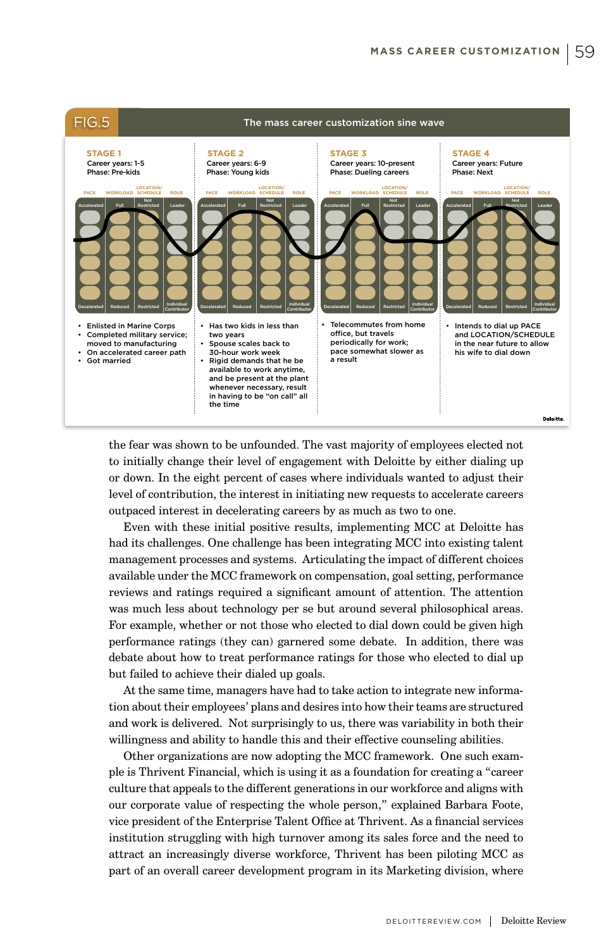

the fear was shown to be unfounded. The vast majority of employees elected not to initially change their level of engagement with Deloitte by either dialing up or down. In the eight percent of cases where individuals wanted to adjust their level of contribution, the interest in initiating new requests to accelerate careers outpaced interest in decelerating careers by as much as two to one.

Even with these initial positive results, implementing MCC at Deloitte has had its challenges. One challenge has been integrating MCC into existing talent management processes and systems. Articulating the impact of different choices available under the MCC framework on compensation, goal setting, performance reviews and ratings required a significant amount of attention. The attention was much less about technology per se but around several philosophical areas. For example, whether or not those who elected to dial down could be given high performance ratings (they can) garnered some debate. In addition, there was debate about how to treat performance ratings for those who elected to dial up but failed to achieve their dialed up goals.

At the same time, managers have had to take action to integrate new information about their employees' plans and desires into how their teams are structured and work is delivered. Not surprisingly to us, there was variability in both their willingness and ability to handle this and their effective counseling abilities.

Other organizations are now adopting the MCC framework. One such example is Thrivent Financial, which is using it as a foundation for creating a "career culture that appeals to the different generations in our workforce and aligns with our corporate value of respecting the whole person," explained Barbara Foote, vice president of the Enterprise Talent Office at Thrivent. As a financial services institution struggling with high turnover among its sales force and the need to attract an increasingly diverse workforce, Thrivent has been piloting MCC as part of an overall career development program in its Marketing division, where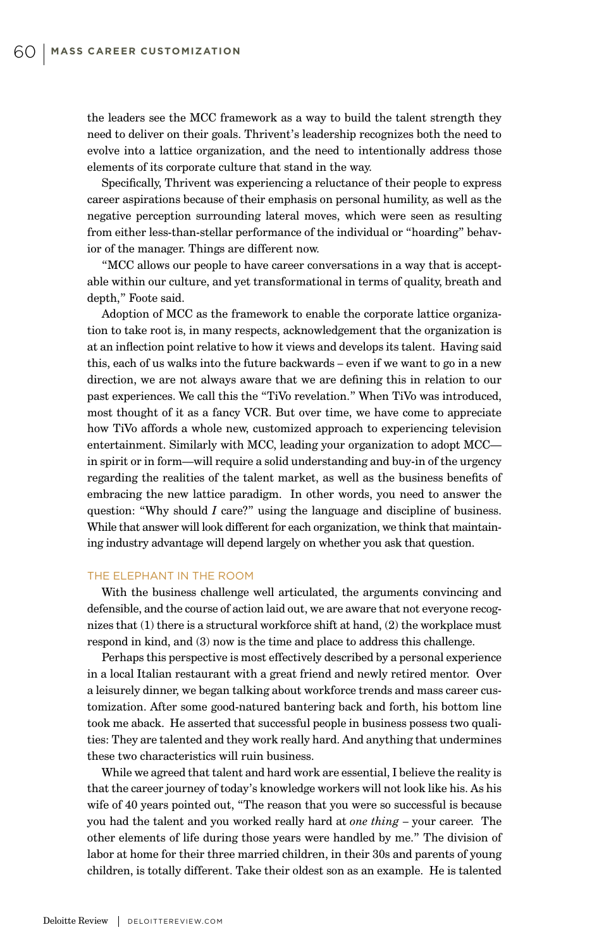the leaders see the MCC framework as a way to build the talent strength they need to deliver on their goals. Thrivent's leadership recognizes both the need to evolve into a lattice organization, and the need to intentionally address those elements of its corporate culture that stand in the way.

Specifically, Thrivent was experiencing a reluctance of their people to express career aspirations because of their emphasis on personal humility, as well as the negative perception surrounding lateral moves, which were seen as resulting from either less-than-stellar performance of the individual or "hoarding" behavior of the manager. Things are different now.

"MCC allows our people to have career conversations in a way that is acceptable within our culture, and yet transformational in terms of quality, breath and depth," Foote said.

Adoption of MCC as the framework to enable the corporate lattice organization to take root is, in many respects, acknowledgement that the organization is at an inflection point relative to how it views and develops its talent. Having said this, each of us walks into the future backwards – even if we want to go in a new direction, we are not always aware that we are defining this in relation to our past experiences. We call this the "TiVo revelation." When TiVo was introduced, most thought of it as a fancy VCR. But over time, we have come to appreciate how TiVo affords a whole new, customized approach to experiencing television entertainment. Similarly with MCC, leading your organization to adopt MCC in spirit or in form—will require a solid understanding and buy-in of the urgency regarding the realities of the talent market, as well as the business benefits of embracing the new lattice paradigm. In other words, you need to answer the question: "Why should *I* care?" using the language and discipline of business. While that answer will look different for each organization, we think that maintaining industry advantage will depend largely on whether you ask that question.

#### The Elephant in the Room

With the business challenge well articulated, the arguments convincing and defensible, and the course of action laid out, we are aware that not everyone recognizes that (1) there is a structural workforce shift at hand, (2) the workplace must respond in kind, and (3) now is the time and place to address this challenge.

Perhaps this perspective is most effectively described by a personal experience in a local Italian restaurant with a great friend and newly retired mentor. Over a leisurely dinner, we began talking about workforce trends and mass career customization. After some good-natured bantering back and forth, his bottom line took me aback. He asserted that successful people in business possess two qualities: They are talented and they work really hard. And anything that undermines these two characteristics will ruin business.

While we agreed that talent and hard work are essential, I believe the reality is that the career journey of today's knowledge workers will not look like his. As his wife of 40 years pointed out, "The reason that you were so successful is because you had the talent and you worked really hard at *one thing* – your career. The other elements of life during those years were handled by me." The division of labor at home for their three married children, in their 30s and parents of young children, is totally different. Take their oldest son as an example. He is talented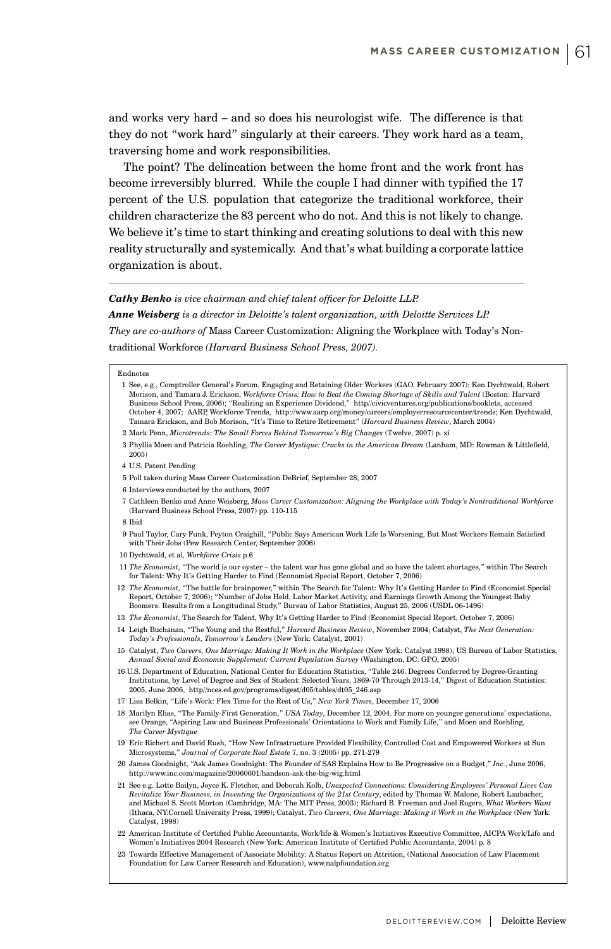and works very hard – and so does his neurologist wife. The difference is that they do not "work hard" singularly at their careers. They work hard as a team, traversing home and work responsibilities.

The point? The delineation between the home front and the work front has become irreversibly blurred. While the couple I had dinner with typified the 17 percent of the U.S. population that categorize the traditional workforce, their children characterize the 83 percent who do not. And this is not likely to change. We believe it's time to start thinking and creating solutions to deal with this new reality structurally and systemically. And that's what building a corporate lattice organization is about.

# *Cathy Benko is vice chairman and chief talent officer for Deloitte LLP. Anne Weisberg is a director in Deloitte's talent organization, with Deloitte Services LP.*

*They are co-authors of* Mass Career Customization: Aligning the Workplace with Today's Nontraditional Workforce *(Harvard Business School Press, 2007).* 

#### Endnotes

- 1 See, e.g., Comptroller General's Forum, Engaging and Retaining Older Workers (GAO, February 2007); Ken Dychtwald, Robert Morison, and Tamara J. Erickson, *Workforce Crisis: How to Beat the Coming Shortage of Skills and Talent* (Boston: Harvard Business School Press, 2006); "Realizing an Experience Dividend," http//civicventures.org/publications/booklets, accessed October 4, 2007; AARP, Workforce Trends, http://www.aarp.org/money/careers/employerresourcecenter/trends; Ken Dychtwald,<br>Tamara Erickson, and Bob Morison, "It's Time to Retire Retirement" (*Harvard Business Review,* Marc
- 2 Mark Penn, *Microtrends: The Small Forces Behind Tomorrow's Big Changes* (Twelve, 2007) p. xi
- 3 Phyllis Moen and Patricia Roehling, *The Career Mystique: Cracks in the American Dream* (Lanham, MD: Rowman & Littlefield, 2005)
- 4 U.S. Patent Pending
- 5 Poll taken during Mass Career Customization DeBrief, September 28, 2007
- 6 Interviews conducted by the authors, 2007
- 7 Cathleen Benko and Anne Weisberg, *Mass Career Customization: Aligning the Workplace with Today's Nontraditional Workforce* (Harvard Business School Press, 2007) pp. 110-115
- 8 Ibid
- 9 Paul Taylor, Cary Funk, Peyton Craighill, "Public Says American Work Life Is Worsening, But Most Workers Remain Satisfied with Their Jobs (Pew Research Center, September 2006)
- 10 Dychtwald, et al, *Workforce Crisis* p.6
- 11 *The Economist*, "The world is our oyster the talent war has gone global and so have the talent shortages," within The Search for Talent: Why It's Getting Harder to Find (Economist Special Report, October 7, 2006)
- 12 *The Economist*, "The battle for brainpower," within The Search for Talent: Why It's Getting Harder to Find (Economist Special Report, October 7, 2006); "Number of Jobs Held, Labor Market Activity, and Earnings Growth Among the Youngest Baby Boomers: Results from a Longitudinal Study," Bureau of Labor Statistics, August 25, 2006 (USDL 06-1496)
- 13 *The Economist*, The Search for Talent, Why It's Getting Harder to Find (Economist Special Report, October 7, 2006)
- 14 Leigh Buchanan, "The Young and the Restful," *Harvard Business Review*, November 2004; Catalyst, *The Next Generation: Today's Professionals, Tomorrow's Leaders* (New York: Catalyst, 2001)
- 15 Catalyst, *Two Careers, One Marriage: Making It Work in the Workplace* (New York: Catalyst 1998); US Bureau of Labor Statistics, *Annual Social and Economic Supplement: Current Population Survey* (Washington, DC: GPO, 2005)
- 16 U.S. Department of Education, National Center for Education Statistics, "Table 246. Degrees Conferred by Degree-Granting Institutions, by Level of Degree and Sex of Student: Selected Years, 1869-70 Through 2013-14," Digest of Education Statistics: 2005, June 2006, http//nces.ed.gov/programs/digest/d05/tables/dt05\_246.asp
- 17 Lisa Belkin, "Life's Work: Flex Time for the Rest of Us," *New York Times*, December 17, 2006
- 18 Marilyn Elias, "The Family-First Generation," *USA Today*, December 12, 2004. For more on younger generations' expectations, see Orange, "Aspiring Law and Business Professionals' Orientations to Work and Family Life," and Moen and Roehling, *The Career Mystique*
- 19 Eric Richert and David Rush, "How New Infrastructure Provided Flexibility, Controlled Cost and Empowered Workers at Sun Microsystems," *Journal of Corporate Real Estate* 7, no. 3 (2005) pp. 271-279
- 20 James Goodnight, "Ask James Goodnight: The Founder of SAS Explains How to Be Progressive on a Budget," *Inc.*, June 2006, http://www.inc.com/magazine/20060601/handson-ask-the-big-wig.html
- 21 See e.g. Lotte Bailyn, Joyce K. Fletcher, and Deborah Kolb, *Unexpected Connections: Considering Employees' Personal Lives Can Revitalize Your Business, in Inventing the Organizations of the 21st Century*, edited by Thomas W. Malone, Robert Laubacher, and Michael S. Scott Morton (Cambridge, MA: The MIT Press, 2003); Richard B. Freeman and Joel Rogers, *What Workers Want* (Ithaca, NY:Cornell University Press, 1999); Catalyst, *Two Careers, One Marriage: Making it Work in the Workplace* (New York: Catalyst, 1998)
- 22 American Institute of Certified Public Accountants, Work/life & Women's Initiatives Executive Committee, AICPA Work/Life and Women's Initiatives 2004 Research (New York: American Institute of Certified Public Accountants, 2004) p. 8
- 23 Towards Effective Management of Associate Mobility: A Status Report on Attrition, (National Association of Law Placement Foundation for Law Career Research and Education), www.nalpfoundation.org